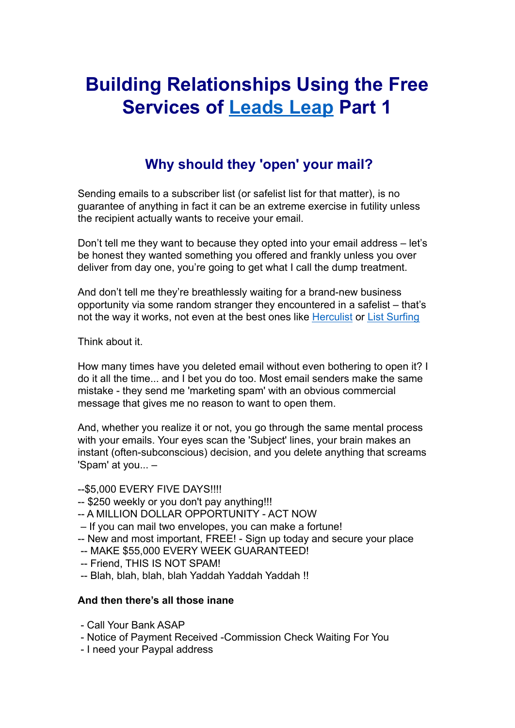## **Building Relationships Using the Free Services of [Leads](https://leadsleap.com/?r=sentinel&s=subjectsreport) Leap Part 1**

## **Why should they 'open' your mail?**

Sending emails to a subscriber list (or safelist list for that matter), is no guarantee of anything in fact it can be an extreme exercise in futility unless the recipient actually wants to receive your email.

Don't tell me they want to because they opted into your email address – let's be honest they wanted something you offered and frankly unless you over deliver from day one, you're going to get what I call the dump treatment.

And don't tell me they're breathlessly waiting for a brand-new business opportunity via some random stranger they encountered in a safelist – that's not the way it works, not even at the best ones like [Herculist](http://trckapp.com/d50rwn39/subjectsreport) or [List Surfing](http://trckapp.com/l0x91f33/subjectsreport)

Think about it.

How many times have you deleted email without even bothering to open it? I do it all the time... and I bet you do too. Most email senders make the same mistake - they send me 'marketing spam' with an obvious commercial message that gives me no reason to want to open them.

And, whether you realize it or not, you go through the same mental process with your emails. Your eyes scan the 'Subject' lines, your brain makes an instant (often-subconscious) decision, and you delete anything that screams 'Spam' at you... –

--\$5,000 EVERY FIVE DAYS!!!!

- -- \$250 weekly or you don't pay anything!!!
- -- A MILLION DOLLAR OPPORTUNITY ACT NOW
- If you can mail two envelopes, you can make a fortune!
- -- New and most important, FREE! Sign up today and secure your place
- -- MAKE \$55,000 EVERY WEEK GUARANTEED!
- -- Friend, THIS IS NOT SPAM!
- -- Blah, blah, blah, blah Yaddah Yaddah Yaddah !!

#### **And then there's all those inane**

- Call Your Bank ASAP
- Notice of Payment Received -Commission Check Waiting For You
- I need your Paypal address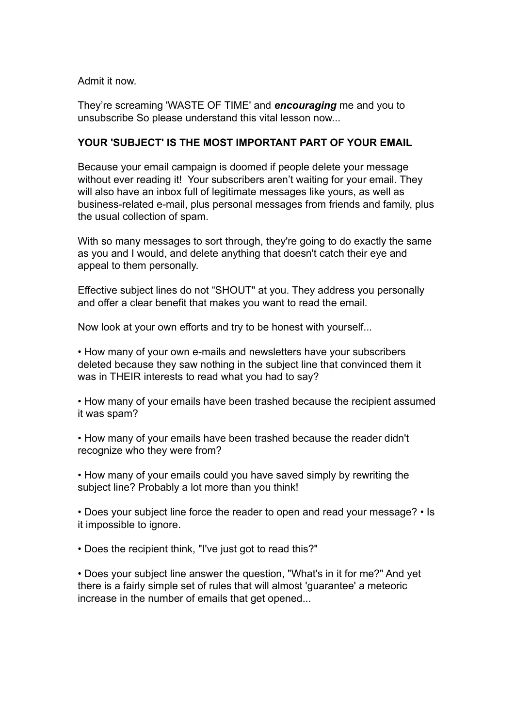Admit it now.

They're screaming 'WASTE OF TIME' and *encouraging* me and you to unsubscribe So please understand this vital lesson now...

#### **YOUR 'SUBJECT' IS THE MOST IMPORTANT PART OF YOUR EMAIL**

Because your email campaign is doomed if people delete your message without ever reading it! Your subscribers aren't waiting for your email. They will also have an inbox full of legitimate messages like yours, as well as business-related e-mail, plus personal messages from friends and family, plus the usual collection of spam.

With so many messages to sort through, they're going to do exactly the same as you and I would, and delete anything that doesn't catch their eye and appeal to them personally.

Effective subject lines do not "SHOUT" at you. They address you personally and offer a clear benefit that makes you want to read the email.

Now look at your own efforts and try to be honest with yourself...

• How many of your own e-mails and newsletters have your subscribers deleted because they saw nothing in the subject line that convinced them it was in THEIR interests to read what you had to say?

• How many of your emails have been trashed because the recipient assumed it was spam?

• How many of your emails have been trashed because the reader didn't recognize who they were from?

• How many of your emails could you have saved simply by rewriting the subject line? Probably a lot more than you think!

• Does your subject line force the reader to open and read your message? • Is it impossible to ignore.

• Does the recipient think, "I've just got to read this?"

• Does your subject line answer the question, "What's in it for me?" And yet there is a fairly simple set of rules that will almost 'guarantee' a meteoric increase in the number of emails that get opened...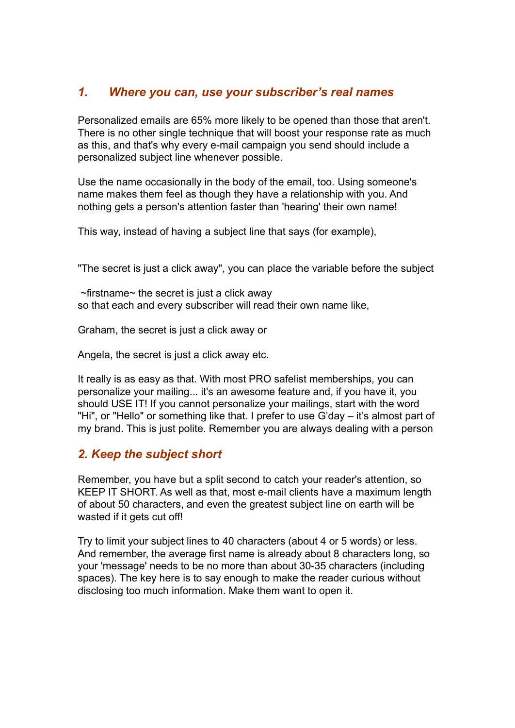## *1. Where you can, use your subscriber's real names*

Personalized emails are 65% more likely to be opened than those that aren't. There is no other single technique that will boost your response rate as much as this, and that's why every e-mail campaign you send should include a personalized subject line whenever possible.

Use the name occasionally in the body of the email, too. Using someone's name makes them feel as though they have a relationship with you. And nothing gets a person's attention faster than 'hearing' their own name!

This way, instead of having a subject line that says (for example),

"The secret is just a click away", you can place the variable before the subject

 $\sim$ firstname $\sim$  the secret is just a click away so that each and every subscriber will read their own name like,

Graham, the secret is just a click away or

Angela, the secret is just a click away etc.

It really is as easy as that. With most PRO safelist memberships, you can personalize your mailing... it's an awesome feature and, if you have it, you should USE IT! If you cannot personalize your mailings, start with the word "Hi", or "Hello" or something like that. I prefer to use G'day – it's almost part of my brand. This is just polite. Remember you are always dealing with a person

## *2. Keep the subject short*

Remember, you have but a split second to catch your reader's attention, so KEEP IT SHORT. As well as that, most e-mail clients have a maximum length of about 50 characters, and even the greatest subject line on earth will be wasted if it gets cut off!

Try to limit your subject lines to 40 characters (about 4 or 5 words) or less. And remember, the average first name is already about 8 characters long, so your 'message' needs to be no more than about 30-35 characters (including spaces). The key here is to say enough to make the reader curious without disclosing too much information. Make them want to open it.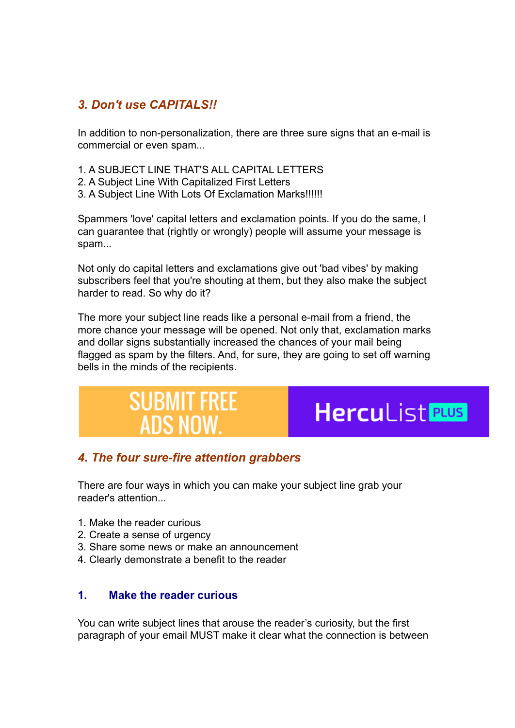## *3. Don't use CAPITALS!!*

In addition to non-personalization, there are three sure signs that an e-mail is commercial or even spam...

- 1. A SUBJECT LINE THAT'S ALL CAPITAL LETTERS
- 2. A Subject Line With Capitalized First Letters
- 3. A Subject Line With Lots Of Exclamation Marks!!!!!!

Spammers 'love' capital letters and exclamation points. If you do the same, I can guarantee that (rightly or wrongly) people will assume your message is spam...

Not only do capital letters and exclamations give out 'bad vibes' by making subscribers feel that you're shouting at them, but they also make the subject harder to read. So why do it?

The more your subject line reads like a personal e-mail from a friend, the more chance your message will be opened. Not only that, exclamation marks and dollar signs substantially increased the chances of your mail being flagged as spam by the filters. And, for sure, they are going to set off warning bells in the minds of the recipients.

## **SUBMIT FREE Herculist PLUS ADS NOW**

## *4. The four sure-fire attention grabbers*

There are four ways in which you can make your subject line grab your reader's attention

- 1. Make the reader curious
- 2. Create a sense of urgency
- 3. Share some news or make an announcement
- 4. Clearly demonstrate a benefit to the reader

#### **1. Make the reader curious**

You can write subject lines that arouse the reader's curiosity, but the first paragraph of your email MUST make it clear what the connection is between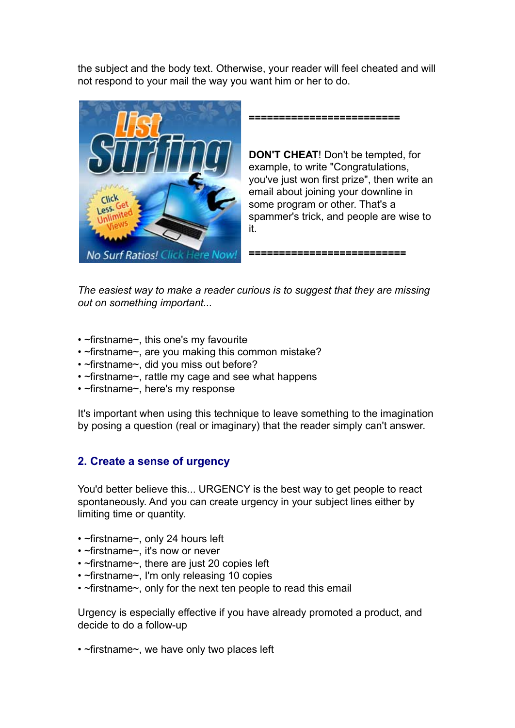the subject and the body text. Otherwise, your reader will feel cheated and will not respond to your mail the way you want him or her to do.



**=========================**

**DON'T CHEAT**! Don't be tempted, for example, to write "Congratulations, you've just won first prize", then write an email about joining your downline in some program or other. That's a spammer's trick, and people are wise to it.

**==========================**

*The easiest way to make a reader curious is to suggest that they are missing out on something important...*

- ~firstname~, this one's my favourite
- ~firstname~, are you making this common mistake?
- ~firstname~, did you miss out before?
- ~firstname~, rattle my cage and see what happens
- ~firstname~, here's my response

It's important when using this technique to leave something to the imagination by posing a question (real or imaginary) that the reader simply can't answer.

#### **2. Create a sense of urgency**

You'd better believe this... URGENCY is the best way to get people to react spontaneously. And you can create urgency in your subject lines either by limiting time or quantity.

- ~firstname~, only 24 hours left
- ~firstname~, it's now or never
- ~firstname~, there are just 20 copies left
- ~firstname~, I'm only releasing 10 copies
- ~firstname~, only for the next ten people to read this email

Urgency is especially effective if you have already promoted a product, and decide to do a follow-up

• ~firstname~, we have only two places left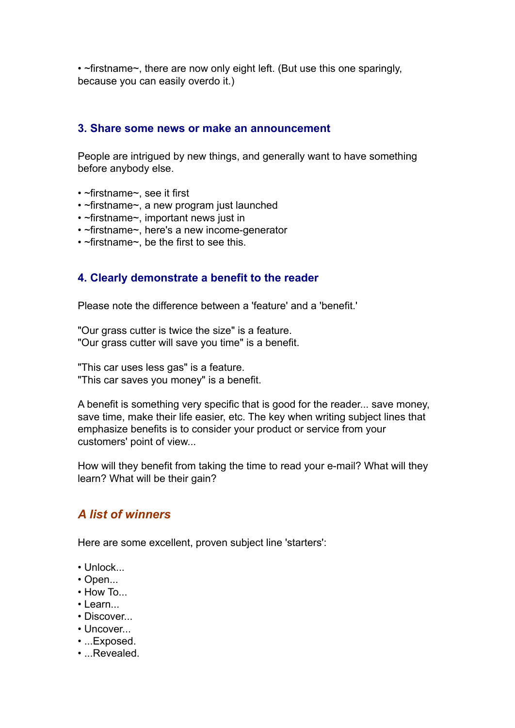• ~firstname~, there are now only eight left. (But use this one sparingly, because you can easily overdo it.)

#### **3. Share some news or make an announcement**

People are intrigued by new things, and generally want to have something before anybody else.

- ~firstname~, see it first
- ~firstname~, a new program just launched
- ~firstname~, important news just in
- ~firstname~, here's a new income-generator
- ~firstname~, be the first to see this.

#### **4. Clearly demonstrate a benefit to the reader**

Please note the difference between a 'feature' and a 'benefit.'

"Our grass cutter is twice the size" is a feature. "Our grass cutter will save you time" is a benefit.

"This car uses less gas" is a feature. "This car saves you money" is a benefit.

A benefit is something very specific that is good for the reader... save money, save time, make their life easier, etc. The key when writing subject lines that emphasize benefits is to consider your product or service from your customers' point of view...

How will they benefit from taking the time to read your e-mail? What will they learn? What will be their gain?

## *A list of winners*

Here are some excellent, proven subject line 'starters':

- Unlock...
- Open...
- $\cdot$  How To...
- Learn...
- Discover...
- Uncover...
- ...Exposed.
- ...Revealed.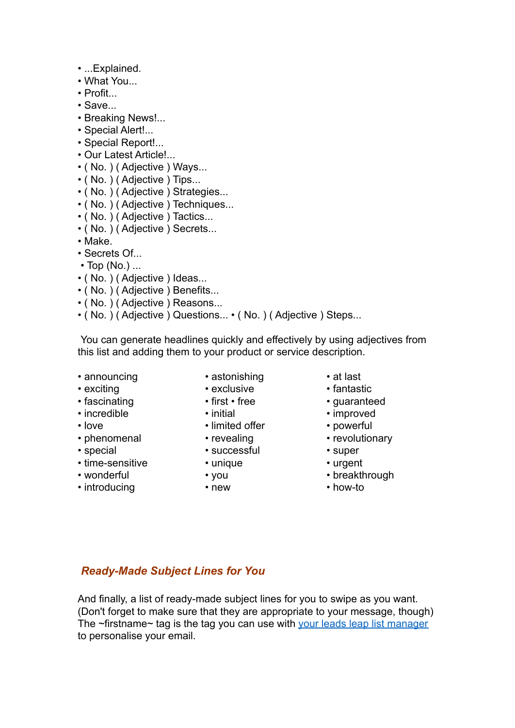- ...Explained.
- What You...
- Profit
- Save...
- Breaking News!...
- Special Alert!...
- Special Report!...
- Our Latest Article!...
- ( No. ) ( Adjective ) Ways...
- ( No. ) ( Adjective ) Tips...
- ( No. ) ( Adjective ) Strategies...
- ( No. ) ( Adjective ) Techniques...
- ( No. ) ( Adjective ) Tactics...
- ( No. ) ( Adjective ) Secrets...
- Make.
- Secrets Of...
- $\cdot$  Top (No.)...
- ( No. ) ( Adjective ) Ideas...
- ( No. ) ( Adjective ) Benefits...
- ( No. ) ( Adjective ) Reasons...
- ( No. ) ( Adjective ) Questions... ( No. ) ( Adjective ) Steps...

You can generate headlines quickly and effectively by using adjectives from this list and adding them to your product or service description.

- announcing astonishing at last
	-
	-
- 
- 
- 
- 
- special successful super
- time-sensitive unique unique urgent • special • successful • sure • super<br>
• time-sensitive • unique • wonderful • you<br>
• introducing • new • how-to
- 
- 
- 
- 
- 
- love limited offer powerful
	-
	-
	-
	-
	-
- 
- exclusive exclusive fantastic
- fascinating first free guaranteed
- incredible initial • improved
	-
- phenomenal revealing reversing revolutionary
	-
	-
- wonderful you breakthrough
	-

#### *Ready-Made Subject Lines for You*

And finally, a list of ready-made subject lines for you to swipe as you want. (Don't forget to make sure that they are appropriate to your message, though) The ~firstname~ tag is the tag you can use with your [leads leap list manager](https://leadsleap.com/?r=sentinel&s=subjectsreport) to personalise your email.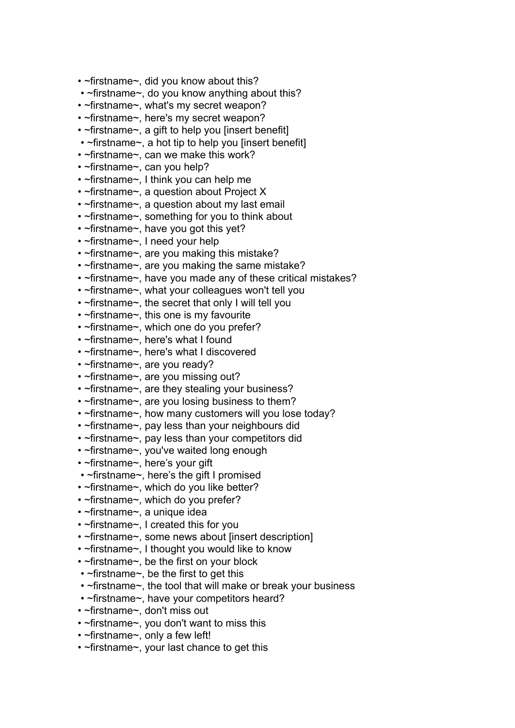- ~firstname~, did you know about this?
- ~firstname~, do you know anything about this?
- ~firstname~, what's my secret weapon?
- ~firstname~, here's my secret weapon?
- ~firstname~, a gift to help you linsert benefitl
- ~firstname~, a hot tip to help you linsert benefitl
- ~firstname~, can we make this work?
- ~firstname~, can you help?
- ~firstname~, I think you can help me
- ~firstname~, a question about Project X
- ~firstname~, a question about my last email
- ~firstname~, something for you to think about
- ~firstname~, have you got this yet?
- ~firstname~, I need your help
- ~firstname~, are you making this mistake?
- ~firstname~, are you making the same mistake?
- ~firstname~, have you made any of these critical mistakes?
- ~firstname~, what your colleagues won't tell you
- ~firstname~, the secret that only I will tell you
- ~firstname~, this one is my favourite
- ~firstname~, which one do you prefer?
- ~firstname~, here's what I found
- ~firstname~, here's what I discovered
- ~firstname~, are you ready?
- ~firstname~, are you missing out?
- ~firstname~, are they stealing your business?
- ~firstname~, are you losing business to them?
- ~firstname~, how many customers will you lose today?
- ~firstname~, pay less than your neighbours did
- ~firstname~, pay less than your competitors did
- ~firstname~, you've waited long enough
- ~firstname~, here's your gift
- ~firstname~, here's the gift I promised
- ~firstname~, which do you like better?
- ~firstname~, which do you prefer?
- ~firstname~, a unique idea
- ~firstname~, I created this for you
- ~firstname~, some news about [insert description]
- ~firstname~, I thought you would like to know
- ~firstname~, be the first on your block
- ~firstname~, be the first to get this
- ~firstname~, the tool that will make or break your business
- ~firstname~, have your competitors heard?
- ~firstname~, don't miss out
- ~firstname~, you don't want to miss this
- ~firstname~, only a few left!
- ~firstname~, your last chance to get this